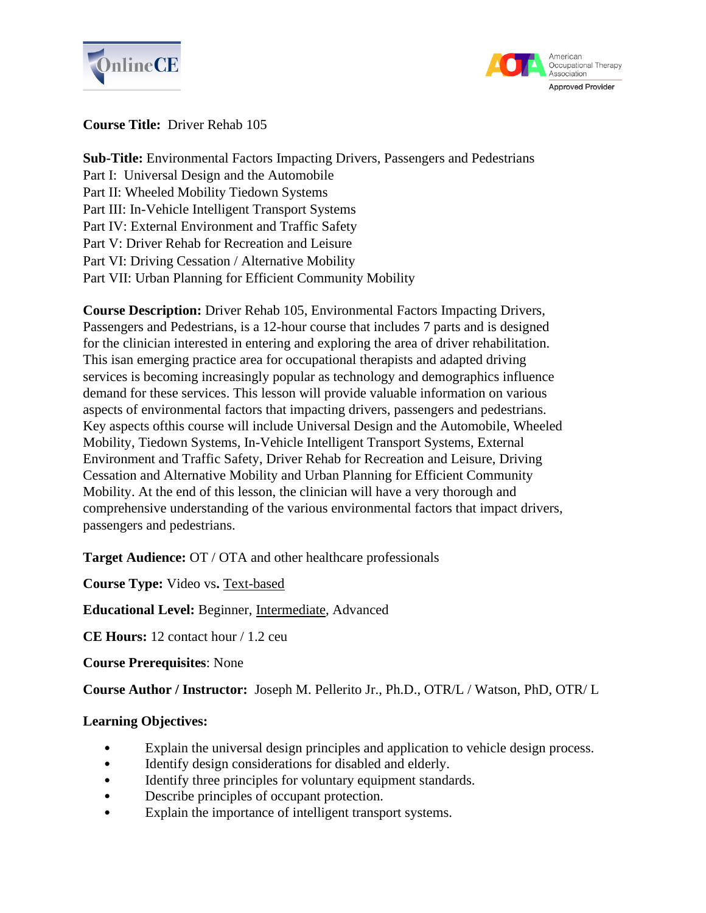



## **Course Title:** Driver Rehab 105

**Sub-Title:** Environmental Factors Impacting Drivers, Passengers and Pedestrians Part I: Universal Design and the Automobile Part II: Wheeled Mobility Tiedown Systems Part III: In-Vehicle Intelligent Transport Systems Part IV: External Environment and Traffic Safety Part V: Driver Rehab for Recreation and Leisure Part VI: Driving Cessation / Alternative Mobility Part VII: Urban Planning for Efficient Community Mobility

**Course Description:** Driver Rehab 105, Environmental Factors Impacting Drivers, Passengers and Pedestrians, is a 12-hour course that includes 7 parts and is designed for the clinician interested in entering and exploring the area of driver rehabilitation. This isan emerging practice area for occupational therapists and adapted driving services is becoming increasingly popular as technology and demographics influence demand for these services. This lesson will provide valuable information on various aspects of environmental factors that impacting drivers, passengers and pedestrians. Key aspects ofthis course will include Universal Design and the Automobile, Wheeled Mobility, Tiedown Systems, In-Vehicle Intelligent Transport Systems, External Environment and Traffic Safety, Driver Rehab for Recreation and Leisure, Driving Cessation and Alternative Mobility and Urban Planning for Efficient Community Mobility. At the end of this lesson, the clinician will have a very thorough and comprehensive understanding of the various environmental factors that impact drivers, passengers and pedestrians.

**Target Audience:** OT / OTA and other healthcare professionals

**Course Type:** Video vs**.** Text-based

**Educational Level:** Beginner, Intermediate, Advanced

**CE Hours:** 12 contact hour / 1.2 ceu

**Course Prerequisites**: None

**Course Author / Instructor:** Joseph M. Pellerito Jr., Ph.D., OTR/L / Watson, PhD, OTR/ L

#### **Learning Objectives:**

- Explain the universal design principles and application to vehicle design process.
- Identify design considerations for disabled and elderly.
- Identify three principles for voluntary equipment standards.
- Describe principles of occupant protection.
- Explain the importance of intelligent transport systems.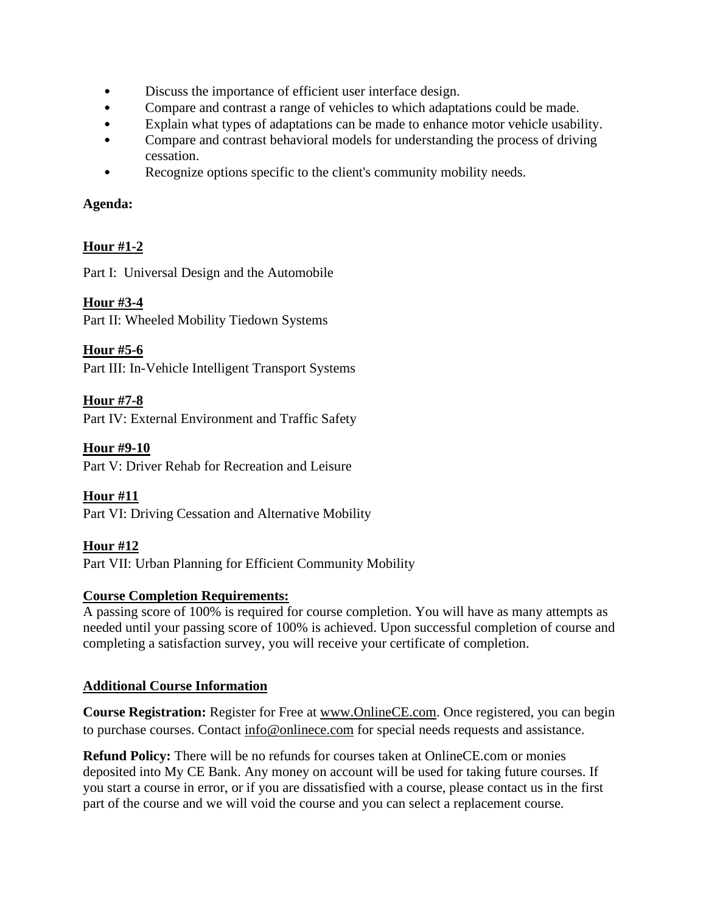- Discuss the importance of efficient user interface design.<br>• Compare and contrast a range of vehicles to which adapta
- Compare and contrast a range of vehicles to which adaptations could be made.
- Explain what types of adaptations can be made to enhance motor vehicle usability.
- Compare and contrast behavioral models for understanding the process of driving cessation.
- Recognize options specific to the client's community mobility needs.

### **Agenda:**

# **Hour #1-2**

Part I: Universal Design and the Automobile

## **Hour #3-4**

Part II: Wheeled Mobility Tiedown Systems

**Hour #5-6**

Part III: In-Vehicle Intelligent Transport Systems

# **Hour #7-8**

Part IV: External Environment and Traffic Safety

## **Hour #9-10**

Part V: Driver Rehab for Recreation and Leisure

# **Hour #11**

Part VI: Driving Cessation and Alternative Mobility

### **Hour #12**

Part VII: Urban Planning for Efficient Community Mobility

### **Course Completion Requirements:**

A passing score of 100% is required for course completion. You will have as many attempts as needed until your passing score of 100% is achieved. Upon successful completion of course and completing a satisfaction survey, you will receive your certificate of completion.

# **Additional Course Information**

**Course Registration:** Register for Free at [www.OnlineCE.com.](http://www.onlinece.com/) Once registered, you can begin to purchase courses. Contact [info@onlinece.com](mailto:info@onlinece.com) for special needs requests and assistance.

**Refund Policy:** There will be no refunds for courses taken at OnlineCE.com or monies deposited into My CE Bank. Any money on account will be used for taking future courses. If you start a course in error, or if you are dissatisfied with a course, please contact us in the first part of the course and we will void the course and you can select a replacement course.